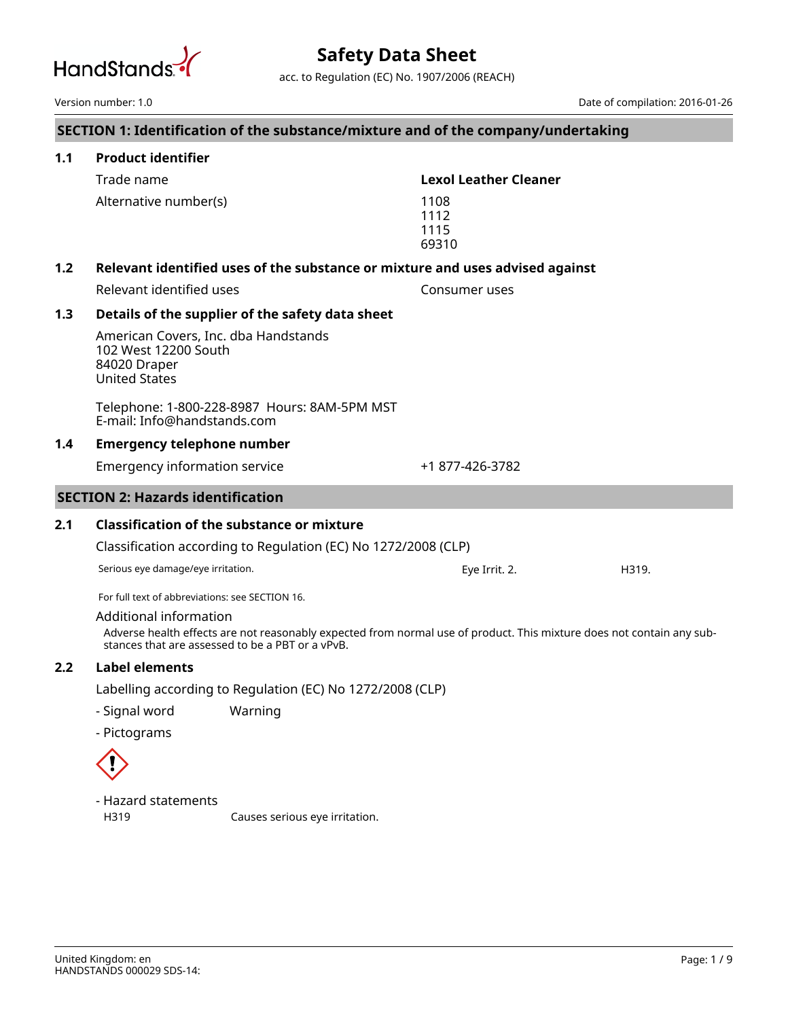

acc. to Regulation (EC) No. 1907/2006 (REACH)

|     | Version number: 1.0                                                                                                                                                                                 |                                                                                   |                               | Date of compilation: 2016-01-26 |  |  |
|-----|-----------------------------------------------------------------------------------------------------------------------------------------------------------------------------------------------------|-----------------------------------------------------------------------------------|-------------------------------|---------------------------------|--|--|
|     |                                                                                                                                                                                                     | SECTION 1: Identification of the substance/mixture and of the company/undertaking |                               |                                 |  |  |
| 1.1 | <b>Product identifier</b>                                                                                                                                                                           |                                                                                   |                               |                                 |  |  |
|     | Trade name                                                                                                                                                                                          |                                                                                   | <b>Lexol Leather Cleaner</b>  |                                 |  |  |
|     | Alternative number(s)                                                                                                                                                                               |                                                                                   | 1108<br>1112<br>1115<br>69310 |                                 |  |  |
| 1.2 |                                                                                                                                                                                                     | Relevant identified uses of the substance or mixture and uses advised against     |                               |                                 |  |  |
|     | Relevant identified uses                                                                                                                                                                            |                                                                                   | Consumer uses                 |                                 |  |  |
| 1.3 |                                                                                                                                                                                                     | Details of the supplier of the safety data sheet                                  |                               |                                 |  |  |
|     | American Covers, Inc. dba Handstands<br>102 West 12200 South<br>84020 Draper<br><b>United States</b>                                                                                                |                                                                                   |                               |                                 |  |  |
|     | E-mail: Info@handstands.com                                                                                                                                                                         | Telephone: 1-800-228-8987 Hours: 8AM-5PM MST                                      |                               |                                 |  |  |
| 1.4 |                                                                                                                                                                                                     | <b>Emergency telephone number</b>                                                 |                               |                                 |  |  |
|     | <b>Emergency information service</b>                                                                                                                                                                |                                                                                   | +1 877-426-3782               |                                 |  |  |
|     | <b>SECTION 2: Hazards identification</b>                                                                                                                                                            |                                                                                   |                               |                                 |  |  |
| 2.1 | <b>Classification of the substance or mixture</b>                                                                                                                                                   |                                                                                   |                               |                                 |  |  |
|     | Classification according to Regulation (EC) No 1272/2008 (CLP)                                                                                                                                      |                                                                                   |                               |                                 |  |  |
|     | Serious eye damage/eye irritation.                                                                                                                                                                  |                                                                                   | Eye Irrit. 2.                 | H319.                           |  |  |
|     | For full text of abbreviations: see SECTION 16.                                                                                                                                                     |                                                                                   |                               |                                 |  |  |
|     | Additional information<br>Adverse health effects are not reasonably expected from normal use of product. This mixture does not contain any sub-<br>stances that are assessed to be a PBT or a vPvB. |                                                                                   |                               |                                 |  |  |
| 2.2 | Label elements                                                                                                                                                                                      |                                                                                   |                               |                                 |  |  |
|     | Labelling according to Regulation (EC) No 1272/2008 (CLP)                                                                                                                                           |                                                                                   |                               |                                 |  |  |
|     | - Signal word                                                                                                                                                                                       | Warning                                                                           |                               |                                 |  |  |
|     | - Pictograms                                                                                                                                                                                        |                                                                                   |                               |                                 |  |  |
|     |                                                                                                                                                                                                     |                                                                                   |                               |                                 |  |  |
|     | - Hazard statements                                                                                                                                                                                 |                                                                                   |                               |                                 |  |  |
|     | H319                                                                                                                                                                                                | Causes serious eye irritation.                                                    |                               |                                 |  |  |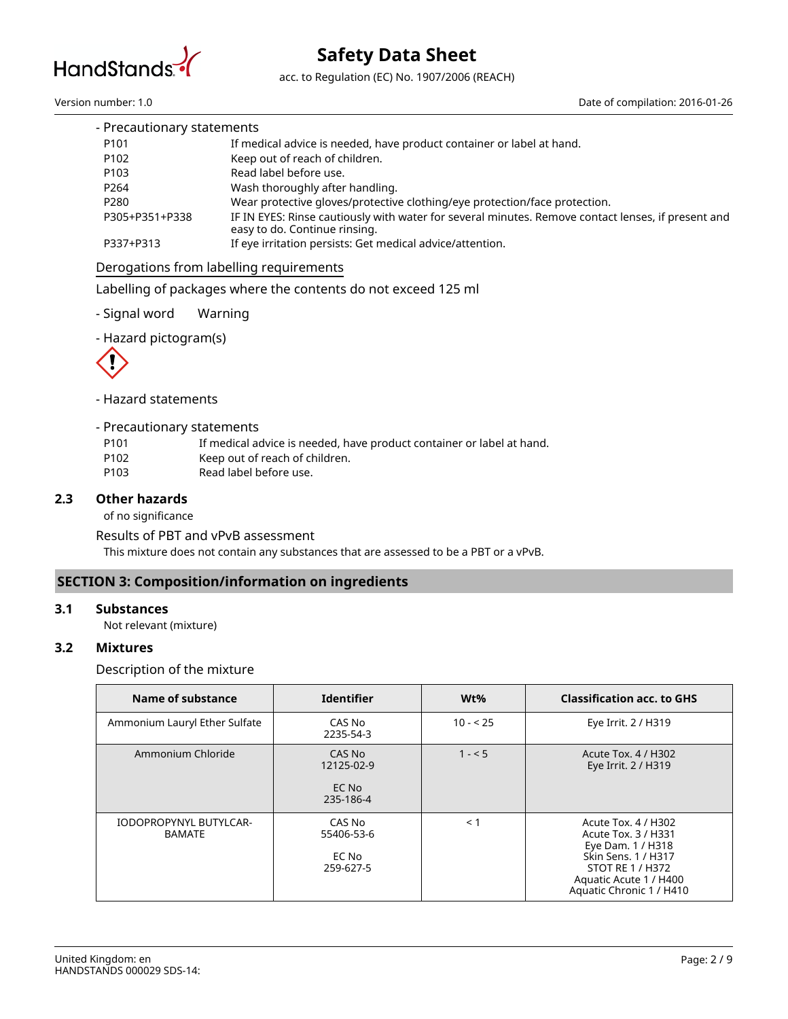

acc. to Regulation (EC) No. 1907/2006 (REACH)

Version number: 1.0 Date of compilation: 2016-01-26

| - Precautionary statements |                                                                                                                                     |
|----------------------------|-------------------------------------------------------------------------------------------------------------------------------------|
| P <sub>101</sub>           | If medical advice is needed, have product container or label at hand.                                                               |
| P <sub>102</sub>           | Keep out of reach of children.                                                                                                      |
| P <sub>103</sub>           | Read label before use.                                                                                                              |
| P <sub>264</sub>           | Wash thoroughly after handling.                                                                                                     |
| P <sub>280</sub>           | Wear protective gloves/protective clothing/eye protection/face protection.                                                          |
| P305+P351+P338             | IF IN EYES: Rinse cautiously with water for several minutes. Remove contact lenses, if present and<br>easy to do. Continue rinsing. |
| P337+P313                  | If eye irritation persists: Get medical advice/attention.                                                                           |

## Derogations from labelling requirements

Labelling of packages where the contents do not exceed 125 ml

- Signal word Warning

- Hazard pictogram(s)



- Hazard statements

- Precautionary statements
- P101 If medical advice is needed, have product container or label at hand.
- P102 Keep out of reach of children.
- P103 Read label before use.

## **2.3 Other hazards**

of no significance

This mixture does not contain any substances that are assessed to be a PBT or a vPvB. Results of PBT and vPvB assessment

## **SECTION 3: Composition/information on ingredients**

## **3.1 Substances**

Not relevant (mixture)

## **3.2 Mixtures**

Description of the mixture

| Name of substance                       | <b>Identifier</b>                          | Wt%       | <b>Classification acc. to GHS</b>                                                                                                                                |
|-----------------------------------------|--------------------------------------------|-----------|------------------------------------------------------------------------------------------------------------------------------------------------------------------|
| Ammonium Lauryl Ether Sulfate           | CAS No<br>2235-54-3                        | $10 - 25$ | Eye Irrit. 2 / H319                                                                                                                                              |
| Ammonium Chloride                       | CAS No<br>12125-02-9<br>EC No<br>235-186-4 | $1 - 5$   | Acute Tox. 4 / H302<br>Eye Irrit. 2 / H319                                                                                                                       |
| IODOPROPYNYL BUTYLCAR-<br><b>BAMATE</b> | CAS No<br>55406-53-6<br>EC No<br>259-627-5 | $\leq 1$  | Acute Tox. 4 / H302<br>Acute Tox. 3 / H331<br>Eye Dam. 1 / H318<br>Skin Sens. 1 / H317<br>STOT RE 1 / H372<br>Aquatic Acute 1 / H400<br>Aquatic Chronic 1 / H410 |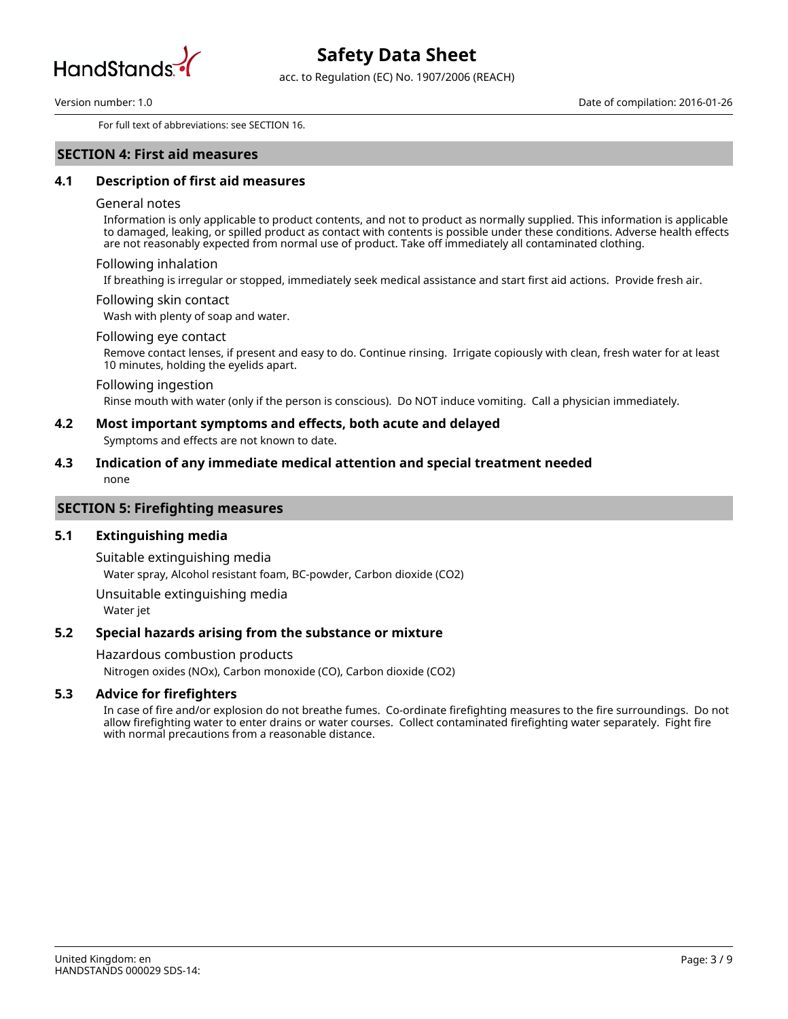

acc. to Regulation (EC) No. 1907/2006 (REACH)

For full text of abbreviations: see SECTION 16.

### **SECTION 4: First aid measures**

## **4.1 Description of first aid measures**

#### General notes

Information is only applicable to product contents, and not to product as normally supplied. This information is applicable to damaged, leaking, or spilled product as contact with contents is possible under these conditions. Adverse health effects are not reasonably expected from normal use of product. Take off immediately all contaminated clothing.

#### Following inhalation

If breathing is irregular or stopped, immediately seek medical assistance and start first aid actions. Provide fresh air.

#### Following skin contact

Wash with plenty of soap and water.

#### Following eye contact

Remove contact lenses, if present and easy to do. Continue rinsing. Irrigate copiously with clean, fresh water for at least 10 minutes, holding the eyelids apart.

#### Following ingestion

Rinse mouth with water (only if the person is conscious). Do NOT induce vomiting. Call a physician immediately.

## **4.2 Most important symptoms and effects, both acute and delayed**

Symptoms and effects are not known to date.

## none **4.3 Indication of any immediate medical attention and special treatment needed**

#### **SECTION 5: Firefighting measures**

#### **5.1 Extinguishing media**

Water spray, Alcohol resistant foam, BC-powder, Carbon dioxide (CO2) Suitable extinguishing media

Water jet Unsuitable extinguishing media

## **5.2 Special hazards arising from the substance or mixture**

Hazardous combustion products

Nitrogen oxides (NOx), Carbon monoxide (CO), Carbon dioxide (CO2)

### **5.3 Advice for firefighters**

In case of fire and/or explosion do not breathe fumes. Co-ordinate firefighting measures to the fire surroundings. Do not allow firefighting water to enter drains or water courses. Collect contaminated firefighting water separately. Fight fire with normal precautions from a reasonable distance.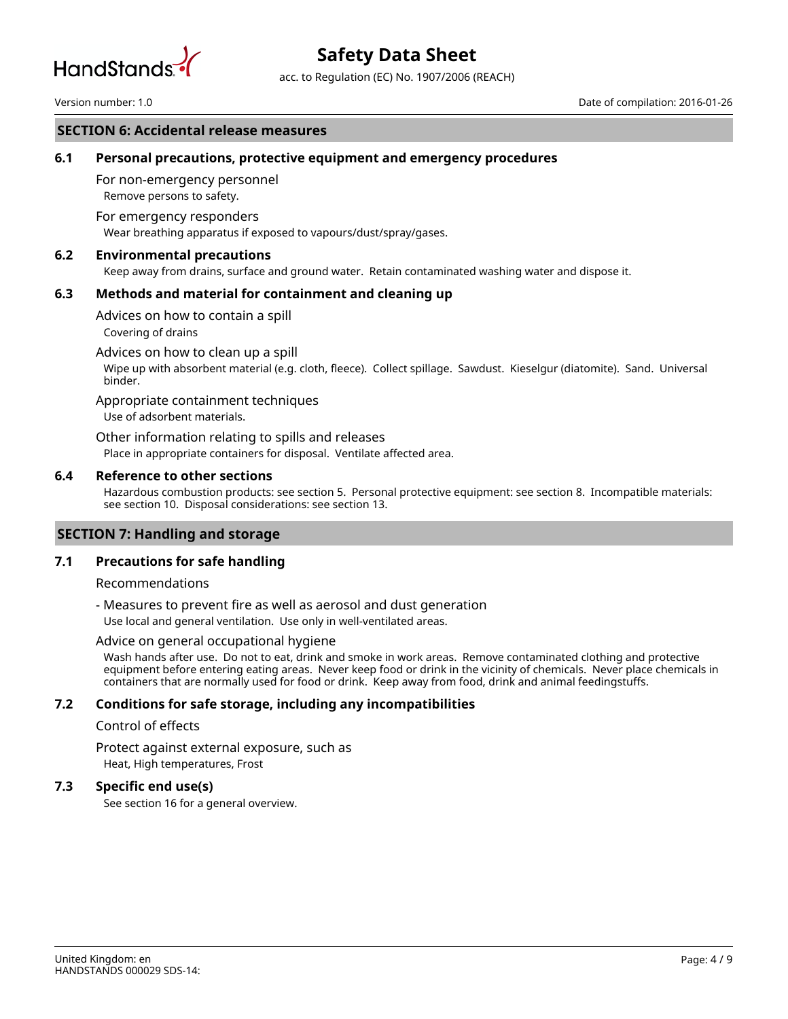

acc. to Regulation (EC) No. 1907/2006 (REACH)

## **SECTION 6: Accidental release measures**

## **6.1 Personal precautions, protective equipment and emergency procedures**

Remove persons to safety. For non-emergency personnel

Wear breathing apparatus if exposed to vapours/dust/spray/gases. For emergency responders

#### **6.2 Environmental precautions**

Keep away from drains, surface and ground water. Retain contaminated washing water and dispose it.

### **6.3 Methods and material for containment and cleaning up**

Covering of drains Advices on how to contain a spill

Advices on how to clean up a spill

Wipe up with absorbent material (e.g. cloth, fleece). Collect spillage. Sawdust. Kieselgur (diatomite). Sand. Universal binder.

Appropriate containment techniques

Use of adsorbent materials.

Place in appropriate containers for disposal. Ventilate affected area. Other information relating to spills and releases

#### **6.4 Reference to other sections**

Hazardous combustion products: see section 5. Personal protective equipment: see section 8. Incompatible materials: see section 10. Disposal considerations: see section 13.

## **SECTION 7: Handling and storage**

### **7.1 Precautions for safe handling**

#### Recommendations

- Measures to prevent fire as well as aerosol and dust generation

Use local and general ventilation. Use only in well-ventilated areas.

#### Advice on general occupational hygiene

Wash hands after use. Do not to eat, drink and smoke in work areas. Remove contaminated clothing and protective equipment before entering eating areas. Never keep food or drink in the vicinity of chemicals. Never place chemicals in containers that are normally used for food or drink. Keep away from food, drink and animal feedingstuffs.

## **7.2 Conditions for safe storage, including any incompatibilities**

### Control of effects

Heat, High temperatures, Frost Protect against external exposure, such as

#### **7.3 Specific end use(s)**

See section 16 for a general overview.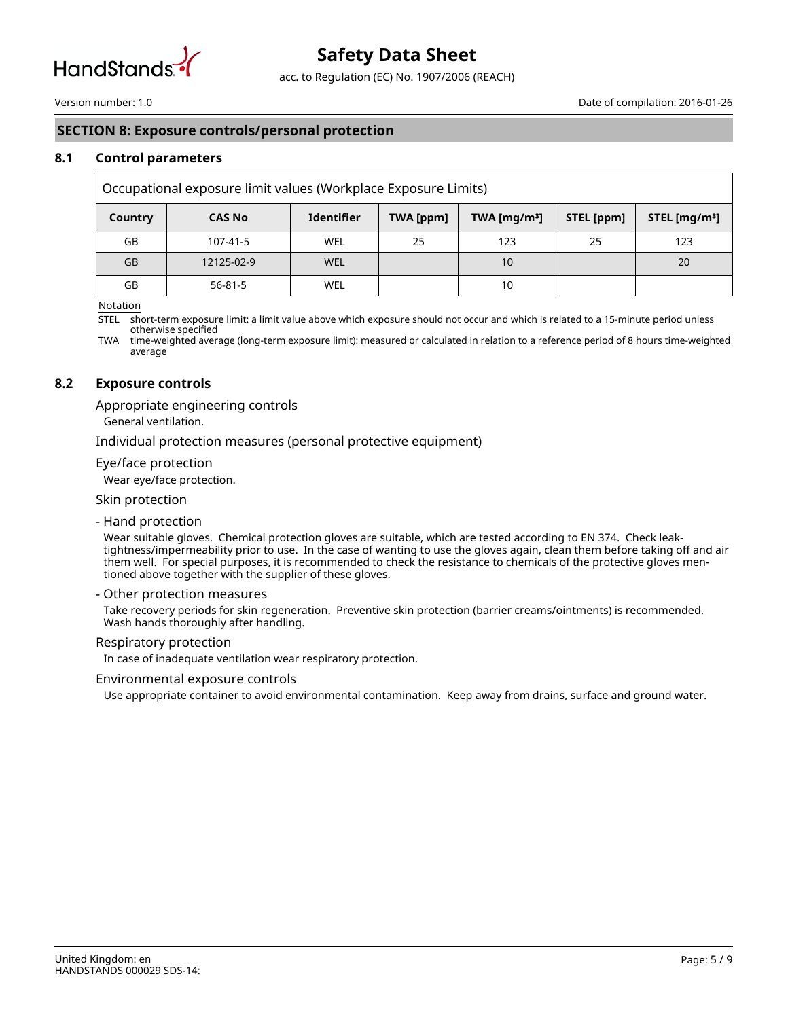

acc. to Regulation (EC) No. 1907/2006 (REACH)

## **SECTION 8: Exposure controls/personal protection**

## **8.1 Control parameters**

| Occupational exposure limit values (Workplace Exposure Limits) |               |                   |           |                 |            |                  |
|----------------------------------------------------------------|---------------|-------------------|-----------|-----------------|------------|------------------|
| Country                                                        | <b>CAS No</b> | <b>Identifier</b> | TWA [ppm] | TWA [ $mq/m3$ ] | STEL [ppm] | STEL [ $mq/m3$ ] |
| GB                                                             | 107-41-5      | WEL               | 25        | 123             | 25         | 123              |
| <b>GB</b>                                                      | 12125-02-9    | WEL               |           | 10              |            | 20               |
| GB                                                             | $56 - 81 - 5$ | WEL               |           | 10              |            |                  |

Notation

STEL short-term exposure limit: a limit value above which exposure should not occur and which is related to a 15-minute period unless otherwise specified

TWA time-weighted average (long-term exposure limit): measured or calculated in relation to a reference period of 8 hours time-weighted average

### **8.2 Exposure controls**

Appropriate engineering controls

General ventilation.

Individual protection measures (personal protective equipment)

#### Eye/face protection

Wear eye/face protection.

## Skin protection

- Hand protection

Wear suitable gloves. Chemical protection gloves are suitable, which are tested according to EN 374. Check leaktightness/impermeability prior to use. In the case of wanting to use the gloves again, clean them before taking off and air them well. For special purposes, it is recommended to check the resistance to chemicals of the protective gloves mentioned above together with the supplier of these gloves.

#### - Other protection measures

Take recovery periods for skin regeneration. Preventive skin protection (barrier creams/ointments) is recommended. Wash hands thoroughly after handling.

#### Respiratory protection

In case of inadequate ventilation wear respiratory protection.

#### Environmental exposure controls

Use appropriate container to avoid environmental contamination. Keep away from drains, surface and ground water.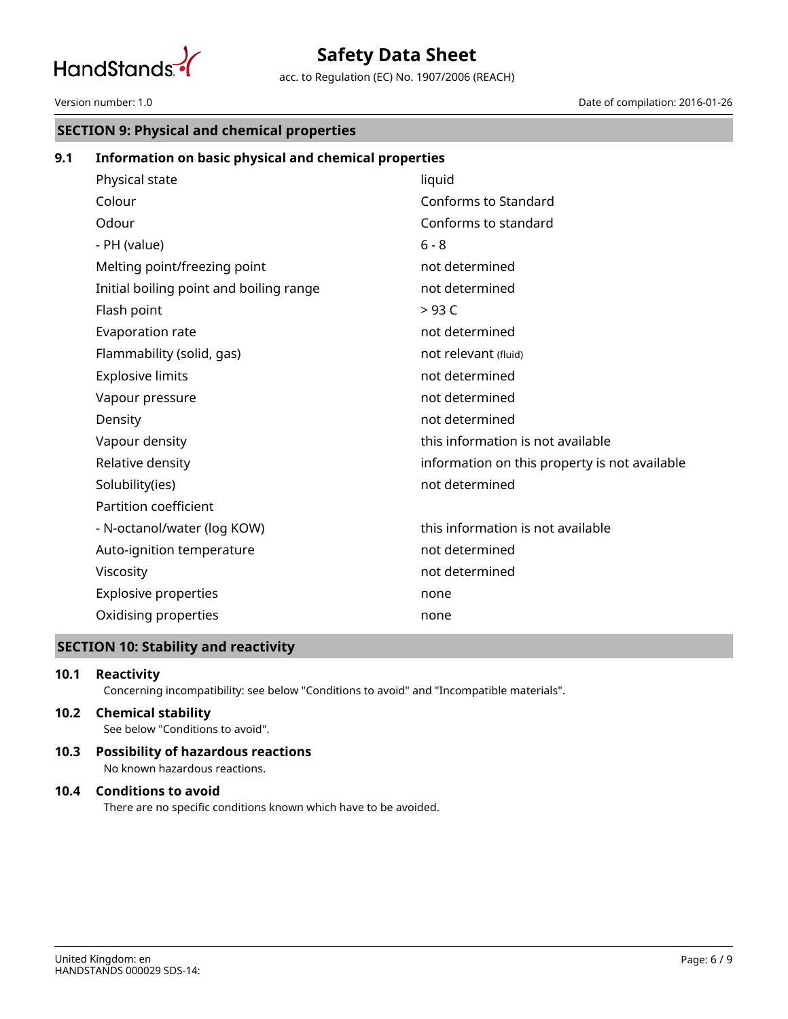

acc. to Regulation (EC) No. 1907/2006 (REACH)

#### Version number: 1.0 Date of compilation: 2016-01-26

## **SECTION 9: Physical and chemical properties**

## **9.1 Information on basic physical and chemical properties**

| Physical state                          | liquid                                        |
|-----------------------------------------|-----------------------------------------------|
| Colour                                  | Conforms to Standard                          |
| Odour                                   | Conforms to standard                          |
| - PH (value)                            | $6 - 8$                                       |
| Melting point/freezing point            | not determined                                |
| Initial boiling point and boiling range | not determined                                |
| Flash point                             | >93 <sub>C</sub>                              |
| Evaporation rate                        | not determined                                |
| Flammability (solid, gas)               | not relevant (fluid)                          |
| <b>Explosive limits</b>                 | not determined                                |
| Vapour pressure                         | not determined                                |
| Density                                 | not determined                                |
| Vapour density                          | this information is not available             |
| Relative density                        | information on this property is not available |
| Solubility(ies)                         | not determined                                |
| Partition coefficient                   |                                               |
| - N-octanol/water (log KOW)             | this information is not available             |
| Auto-ignition temperature               | not determined                                |
| Viscosity                               | not determined                                |
| <b>Explosive properties</b>             | none                                          |
| Oxidising properties                    | none                                          |
|                                         |                                               |

## **SECTION 10: Stability and reactivity**

## **10.1 Reactivity**

Concerning incompatibility: see below "Conditions to avoid" and "Incompatible materials".

## See below "Conditions to avoid". **10.2 Chemical stability**

No known hazardous reactions. **10.3 Possibility of hazardous reactions**

## **10.4 Conditions to avoid**

There are no specific conditions known which have to be avoided.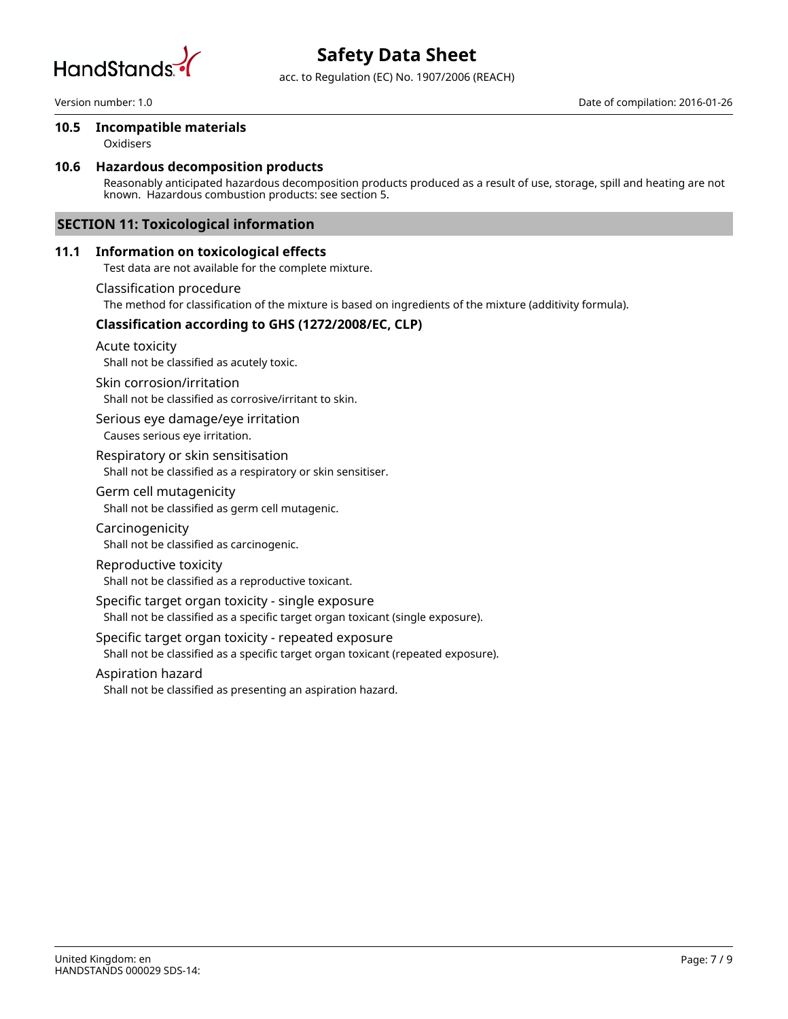

acc. to Regulation (EC) No. 1907/2006 (REACH)

## **10.5 Incompatible materials**

Oxidisers

## **10.6 Hazardous decomposition products**

Reasonably anticipated hazardous decomposition products produced as a result of use, storage, spill and heating are not known. Hazardous combustion products: see section 5.

## **SECTION 11: Toxicological information**

## **11.1 Information on toxicological effects**

Test data are not available for the complete mixture.

Classification procedure

The method for classification of the mixture is based on ingredients of the mixture (additivity formula).

## **Classification according to GHS (1272/2008/EC, CLP)**

Acute toxicity

Shall not be classified as acutely toxic.

### Skin corrosion/irritation

Shall not be classified as corrosive/irritant to skin.

Causes serious eye irritation. Serious eye damage/eye irritation

Respiratory or skin sensitisation

Shall not be classified as a respiratory or skin sensitiser.

### Germ cell mutagenicity

Shall not be classified as germ cell mutagenic.

- Shall not be classified as carcinogenic. Carcinogenicity
- Reproductive toxicity

Shall not be classified as a reproductive toxicant.

## Specific target organ toxicity - single exposure

Shall not be classified as a specific target organ toxicant (single exposure).

## Specific target organ toxicity - repeated exposure

Shall not be classified as a specific target organ toxicant (repeated exposure).

#### Aspiration hazard

Shall not be classified as presenting an aspiration hazard.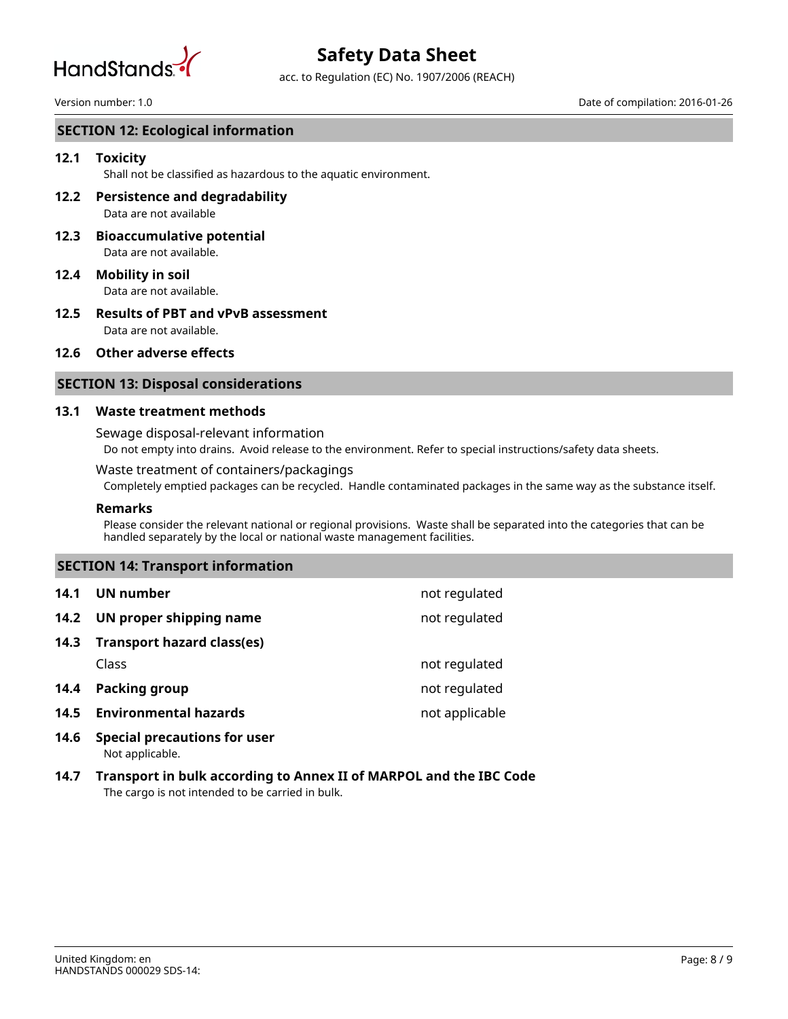

acc. to Regulation (EC) No. 1907/2006 (REACH)

#### Version number: 1.0 Date of compilation: 2016-01-26

## **SECTION 12: Ecological information**

## **12.1 Toxicity**

Shall not be classified as hazardous to the aquatic environment.

- Data are not available **12.2 Persistence and degradability**
- Data are not available. **12.3 Bioaccumulative potential**
- Data are not available. **12.4 Mobility in soil**
- Data are not available. **12.5 Results of PBT and vPvB assessment**

#### **12.6 Other adverse effects**

## **SECTION 13: Disposal considerations**

#### **13.1 Waste treatment methods**

#### Sewage disposal-relevant information

Do not empty into drains. Avoid release to the environment. Refer to special instructions/safety data sheets.

### Waste treatment of containers/packagings

Completely emptied packages can be recycled. Handle contaminated packages in the same way as the substance itself.

#### **Remarks**

Please consider the relevant national or regional provisions. Waste shall be separated into the categories that can be handled separately by the local or national waste management facilities.

## **SECTION 14: Transport information**

| 14.1 | UN number                           | not regulated  |
|------|-------------------------------------|----------------|
| 14.2 | UN proper shipping name             | not regulated  |
| 14.3 | <b>Transport hazard class(es)</b>   |                |
|      | Class                               | not regulated  |
| 14.4 | <b>Packing group</b>                | not regulated  |
| 14.5 | <b>Environmental hazards</b>        | not applicable |
| 14.6 | <b>Special precautions for user</b> |                |

- Not applicable.
- The cargo is not intended to be carried in bulk. **14.7 Transport in bulk according to Annex II of MARPOL and the IBC Code**